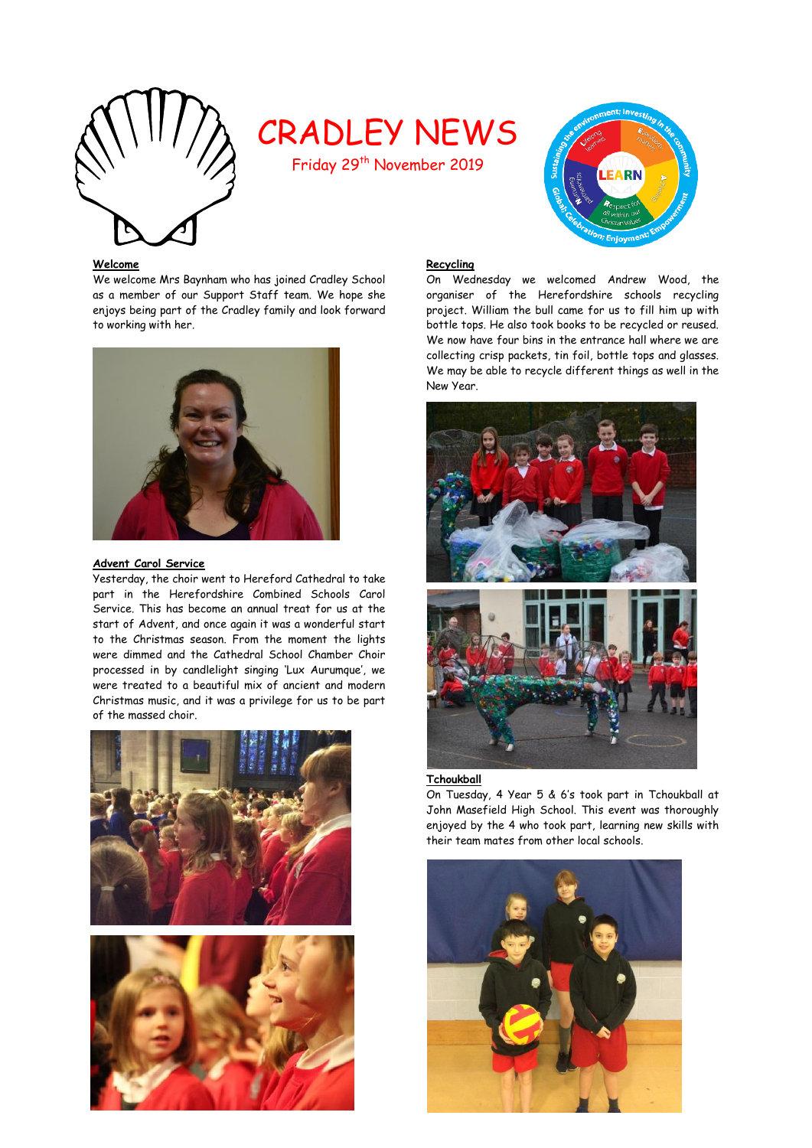

# CRADLEY NEWS

Friday 29th November 2019



# **Welcome**

We welcome Mrs Baynham who has joined Cradley School as a member of our Support Staff team. We hope she enjoys being part of the Cradley family and look forward to working with her.



#### **Advent Carol Service**

Yesterday, the choir went to Hereford Cathedral to take part in the Herefordshire Combined Schools Carol Service. This has become an annual treat for us at the start of Advent, and once again it was a wonderful start to the Christmas season. From the moment the lights were dimmed and the Cathedral School Chamber Choir processed in by candlelight singing 'Lux Aurumque', we were treated to a beautiful mix of ancient and modern Christmas music, and it was a privilege for us to be part of the massed choir.





#### **Recycling**

On Wednesday we welcomed Andrew Wood, the organiser of the Herefordshire schools recycling project. William the bull came for us to fill him up with bottle tops. He also took books to be recycled or reused. We now have four bins in the entrance hall where we are collecting crisp packets, tin foil, bottle tops and glasses. We may be able to recycle different things as well in the New Year.



#### **Tchoukball**

On Tuesday, 4 Year 5 & 6's took part in Tchoukball at John Masefield High School. This event was thoroughly enjoyed by the 4 who took part, learning new skills with their team mates from other local schools.

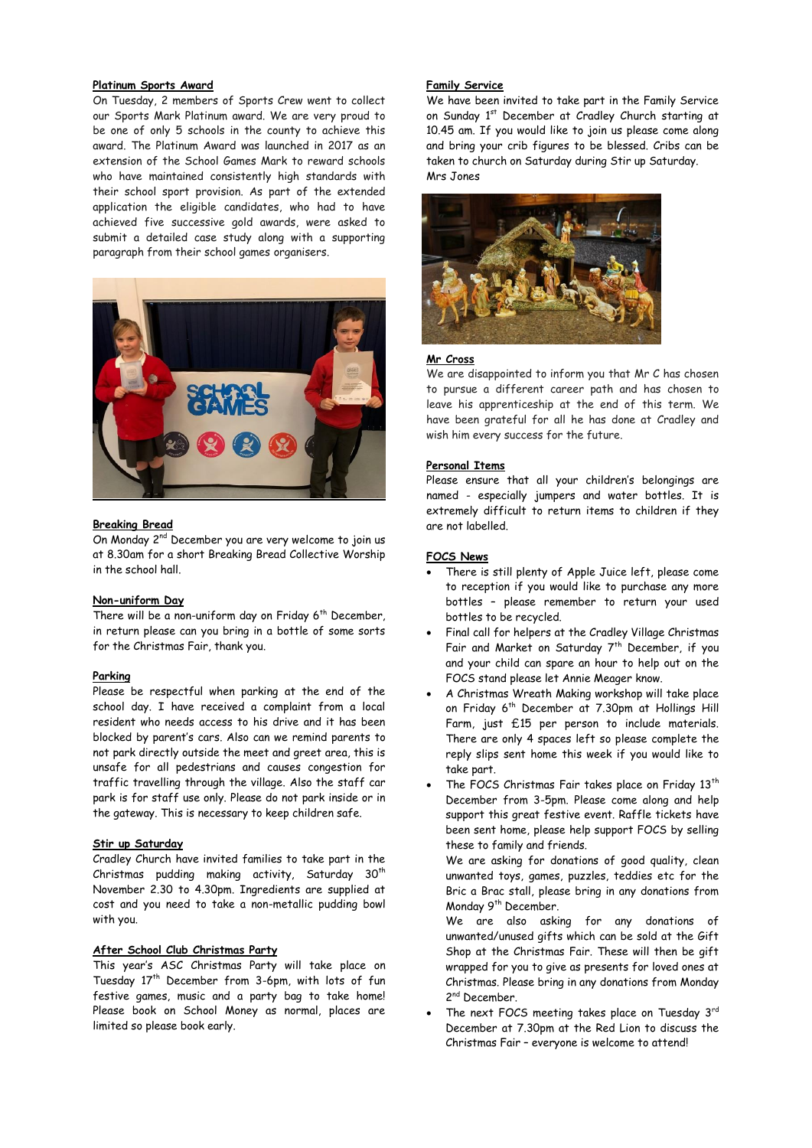## **Platinum Sports Award**

On Tuesday, 2 members of Sports Crew went to collect our Sports Mark Platinum award. We are very proud to be one of only 5 schools in the county to achieve this award. The Platinum Award was launched in 2017 as an extension of the School Games Mark to reward schools who have maintained consistently high standards with their school sport provision. As part of the extended application the eligible candidates, who had to have achieved five successive gold awards, were asked to submit a detailed case study along with a supporting paragraph from their school games organisers.



#### **Breaking Bread**

On Monday 2<sup>nd</sup> December you are very welcome to join us at 8.30am for a short Breaking Bread Collective Worship in the school hall.

#### **Non-uniform Day**

There will be a non-uniform day on Friday 6<sup>th</sup> December, in return please can you bring in a bottle of some sorts for the Christmas Fair, thank you.

#### **Parking**

Please be respectful when parking at the end of the school day. I have received a complaint from a local resident who needs access to his drive and it has been blocked by parent's cars. Also can we remind parents to not park directly outside the meet and greet area, this is unsafe for all pedestrians and causes congestion for traffic travelling through the village. Also the staff car park is for staff use only. Please do not park inside or in the gateway. This is necessary to keep children safe.

#### **Stir up Saturday**

Cradley Church have invited families to take part in the Christmas pudding making activity, Saturday  $30<sup>th</sup>$ November 2.30 to 4.30pm. Ingredients are supplied at cost and you need to take a non-metallic pudding bowl with you.

# **After School Club Christmas Party**

This year's ASC Christmas Party will take place on Tuesday 17<sup>th</sup> December from 3-6pm, with lots of fun festive games, music and a party bag to take home! Please book on School Money as normal, places are limited so please book early.

#### **Family Service**

We have been invited to take part in the Family Service on Sunday 1st December at Cradley Church starting at 10.45 am. If you would like to join us please come along and bring your crib figures to be blessed. Cribs can be taken to church on Saturday during Stir up Saturday. Mrs Jones



#### **Mr Cross**

We are disappointed to inform you that Mr C has chosen to pursue a different career path and has chosen to leave his apprenticeship at the end of this term. We have been grateful for all he has done at Cradley and wish him every success for the future.

# **Personal Items**

Please ensure that all your children's belongings are named - especially jumpers and water bottles. It is extremely difficult to return items to children if they are not labelled.

#### **FOCS News**

- There is still plenty of Apple Juice left, please come to reception if you would like to purchase any more bottles – please remember to return your used bottles to be recycled.
- Final call for helpers at the Cradley Village Christmas Fair and Market on Saturday 7<sup>th</sup> December, if you and your child can spare an hour to help out on the FOCS stand please let Annie Meager know.
- A Christmas Wreath Making workshop will take place on Friday 6<sup>th</sup> December at 7.30pm at Hollings Hill Farm, just £15 per person to include materials. There are only 4 spaces left so please complete the reply slips sent home this week if you would like to take part.
- The FOCS Christmas Fair takes place on Friday 13<sup>th</sup> December from 3-5pm. Please come along and help support this great festive event. Raffle tickets have been sent home, please help support FOCS by selling these to family and friends.

We are asking for donations of good quality, clean unwanted toys, games, puzzles, teddies etc for the Bric a Brac stall, please bring in any donations from Monday 9<sup>th</sup> December.

We are also asking for any donations of unwanted/unused gifts which can be sold at the Gift Shop at the Christmas Fair. These will then be gift wrapped for you to give as presents for loved ones at Christmas. Please bring in any donations from Monday 2<sup>nd</sup> December.

The next FOCS meeting takes place on Tuesday 3rd December at 7.30pm at the Red Lion to discuss the Christmas Fair – everyone is welcome to attend!